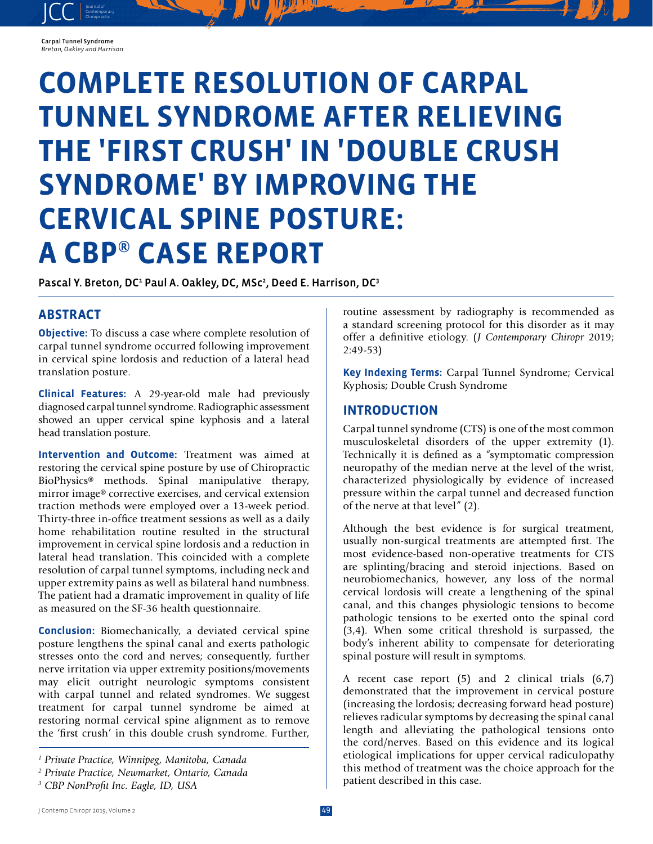#### Carpal Tunnel Syndrome *Breton, Oakley and Harrison*

JCC contemporary Contemporary

# **COMPLETE RESOLUTION OF CARPAL TUNNEL SYNDROME AFTER RELIEVING THE 'FIRST CRUSH' IN 'DOUBLE CRUSH SYNDROME' BY IMPROVING THE CERVICAL SPINE POSTURE: A CBP® CASE REPORT**

Pascal Y. Breton, DC<sup>1</sup> Paul A. Oakley, DC, MSc<sup>2</sup>, Deed E. Harrison, DC<sup>3</sup>

# **ABSTRACT**

**Objective:** To discuss a case where complete resolution of carpal tunnel syndrome occurred following improvement in cervical spine lordosis and reduction of a lateral head translation posture.

**Clinical Features:** A 29-year-old male had previously diagnosed carpal tunnel syndrome. Radiographic assessment showed an upper cervical spine kyphosis and a lateral head translation posture.

**Intervention and Outcome:** Treatment was aimed at restoring the cervical spine posture by use of Chiropractic BioPhysics® methods. Spinal manipulative therapy, mirror image® corrective exercises, and cervical extension traction methods were employed over a 13-week period. Thirty-three in-office treatment sessions as well as a daily home rehabilitation routine resulted in the structural improvement in cervical spine lordosis and a reduction in lateral head translation. This coincided with a complete resolution of carpal tunnel symptoms, including neck and upper extremity pains as well as bilateral hand numbness. The patient had a dramatic improvement in quality of life as measured on the SF-36 health questionnaire.

**Conclusion:** Biomechanically, a deviated cervical spine posture lengthens the spinal canal and exerts pathologic stresses onto the cord and nerves; consequently, further nerve irritation via upper extremity positions/movements may elicit outright neurologic symptoms consistent with carpal tunnel and related syndromes. We suggest treatment for carpal tunnel syndrome be aimed at restoring normal cervical spine alignment as to remove the 'first crush' in this double crush syndrome. Further,

routine assessment by radiography is recommended as a standard screening protocol for this disorder as it may offer a definitive etiology. (*J Contemporary Chiropr* 2019; 2:49-53)

**Key Indexing Terms:** Carpal Tunnel Syndrome; Cervical Kyphosis; Double Crush Syndrome

### **INTRODUCTION**

Carpal tunnel syndrome (CTS) is one of the most common musculoskeletal disorders of the upper extremity (1). Technically it is defined as a "symptomatic compression neuropathy of the median nerve at the level of the wrist, characterized physiologically by evidence of increased pressure within the carpal tunnel and decreased function of the nerve at that level" (2).

Although the best evidence is for surgical treatment, usually non-surgical treatments are attempted first. The most evidence-based non-operative treatments for CTS are splinting/bracing and steroid injections. Based on neurobiomechanics, however, any loss of the normal cervical lordosis will create a lengthening of the spinal canal, and this changes physiologic tensions to become pathologic tensions to be exerted onto the spinal cord (3,4). When some critical threshold is surpassed, the body's inherent ability to compensate for deteriorating spinal posture will result in symptoms.

A recent case report (5) and 2 clinical trials (6,7) demonstrated that the improvement in cervical posture (increasing the lordosis; decreasing forward head posture) relieves radicular symptoms by decreasing the spinal canal length and alleviating the pathological tensions onto the cord/nerves. Based on this evidence and its logical etiological implications for upper cervical radiculopathy this method of treatment was the choice approach for the patient described in this case.

*<sup>1</sup> Private Practice, Winnipeg, Manitoba, Canada*

*<sup>2</sup> Private Practice, Newmarket, Ontario, Canada*

*<sup>3</sup> CBP NonProfit Inc. Eagle, ID, USA*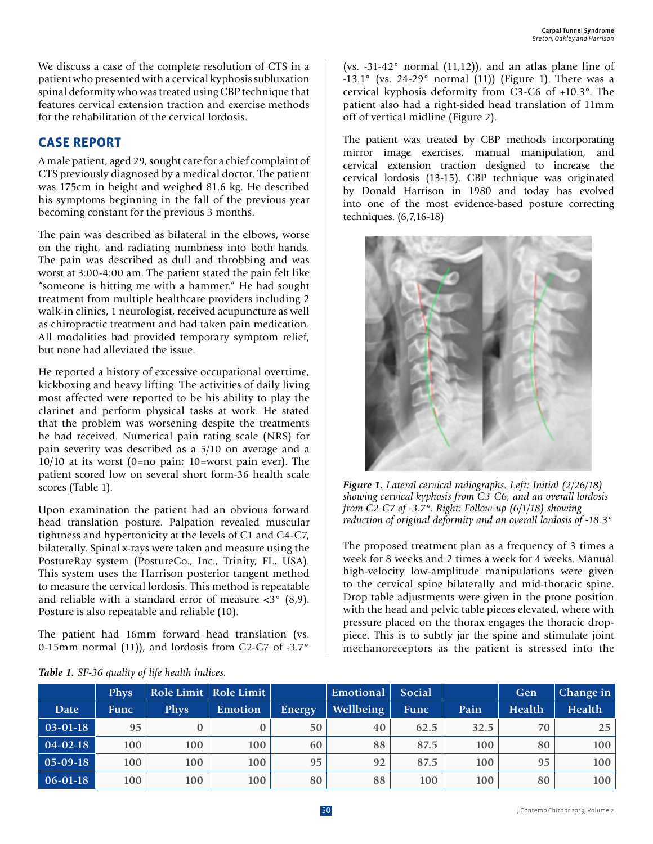We discuss a case of the complete resolution of CTS in a patient who presented with a cervical kyphosis subluxation spinal deformity who was treated using CBP technique that features cervical extension traction and exercise methods for the rehabilitation of the cervical lordosis.

# **CASE REPORT**

A male patient, aged 29, sought care for a chief complaint of CTS previously diagnosed by a medical doctor. The patient was 175cm in height and weighed 81.6 kg. He described his symptoms beginning in the fall of the previous year becoming constant for the previous 3 months.

The pain was described as bilateral in the elbows, worse on the right, and radiating numbness into both hands. The pain was described as dull and throbbing and was worst at 3:00-4:00 am. The patient stated the pain felt like "someone is hitting me with a hammer." He had sought treatment from multiple healthcare providers including 2 walk-in clinics, 1 neurologist, received acupuncture as well as chiropractic treatment and had taken pain medication. All modalities had provided temporary symptom relief, but none had alleviated the issue.

He reported a history of excessive occupational overtime, kickboxing and heavy lifting. The activities of daily living most affected were reported to be his ability to play the clarinet and perform physical tasks at work. He stated that the problem was worsening despite the treatments he had received. Numerical pain rating scale (NRS) for pain severity was described as a 5/10 on average and a 10/10 at its worst (0=no pain; 10=worst pain ever). The patient scored low on several short form-36 health scale scores (Table 1).

Upon examination the patient had an obvious forward head translation posture. Palpation revealed muscular tightness and hypertonicity at the levels of C1 and C4-C7, bilaterally. Spinal x-rays were taken and measure using the PostureRay system (PostureCo., Inc., Trinity, FL, USA). This system uses the Harrison posterior tangent method to measure the cervical lordosis. This method is repeatable and reliable with a standard error of measure <3° (8,9). Posture is also repeatable and reliable (10).

The patient had 16mm forward head translation (vs. 0-15mm normal (11)), and lordosis from C2-C7 of -3.7°

(vs.  $-31-42^{\circ}$  normal (11,12)), and an atlas plane line of  $-13.1^\circ$  (vs. 24-29 $^\circ$  normal (11)) (Figure 1). There was a cervical kyphosis deformity from C3-C6 of +10.3°. The patient also had a right-sided head translation of 11mm off of vertical midline (Figure 2).

The patient was treated by CBP methods incorporating mirror image exercises, manual manipulation, and cervical extension traction designed to increase the cervical lordosis (13-15). CBP technique was originated by Donald Harrison in 1980 and today has evolved into one of the most evidence-based posture correcting techniques. (6,7,16-18)



*Figure 1. Lateral cervical radiographs. Left: Initial (2/26/18) showing cervical kyphosis from C3-C6, and an overall lordosis from C2-C7 of -3.7°. Right: Follow-up (6/1/18) showing reduction of original deformity and an overall lordosis of -18.3°*

The proposed treatment plan as a frequency of 3 times a week for 8 weeks and 2 times a week for 4 weeks. Manual high-velocity low-amplitude manipulations were given to the cervical spine bilaterally and mid-thoracic spine. Drop table adjustments were given in the prone position with the head and pelvic table pieces elevated, where with pressure placed on the thorax engages the thoracic droppiece. This is to subtly jar the spine and stimulate joint mechanoreceptors as the patient is stressed into the

|              | <b>Phys</b> |             | Role Limit   Role Limit |        | Emotional | Social      |      | Gen           | Change in        |
|--------------|-------------|-------------|-------------------------|--------|-----------|-------------|------|---------------|------------------|
| Date         | <b>Func</b> | <b>Phys</b> | Emotion                 | Energy | Wellbeing | <b>Func</b> | Pain | <b>Health</b> | Health           |
| $ 03-01-18 $ | 95          |             |                         | 50     | 40        | 62.5        | 32.5 | 70            | 25               |
| $ 04-02-18 $ | 100         | 100         | 100                     | 60     | 88        | 87.5        | 100  | 80            | 100              |
| $ 05-09-18 $ | 100         | 100         | 100                     | 95     | 92        | 87.5        | 100  | 95            | 100              |
| $ 06-01-18 $ | 100         | 100         | 100                     | 80     | 88        | 100         | 100  | 80            | 100 <sub>1</sub> |

#### *Table 1. SF-36 quality of life health indices.*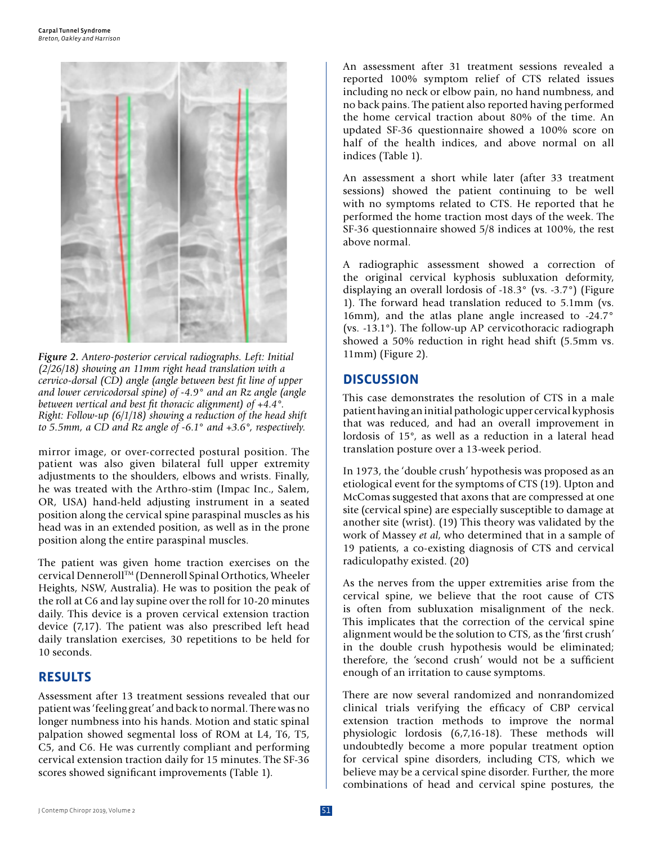

*Figure 2. Antero-posterior cervical radiographs. Left: Initial (2/26/18) showing an 11mm right head translation with a cervico-dorsal (CD) angle (angle between best fit line of upper and lower cervicodorsal spine) of -4.9° and an Rz angle (angle between vertical and best fit thoracic alignment) of +4.4°. Right: Follow-up (6/1/18) showing a reduction of the head shift to 5.5mm, a CD and Rz angle of -6.1° and +3.6°, respectively.*

mirror image, or over-corrected postural position. The patient was also given bilateral full upper extremity adjustments to the shoulders, elbows and wrists. Finally, he was treated with the Arthro-stim (Impac Inc., Salem, OR, USA) hand-held adjusting instrument in a seated position along the cervical spine paraspinal muscles as his head was in an extended position, as well as in the prone position along the entire paraspinal muscles.

The patient was given home traction exercises on the cervical Denneroll™ (Denneroll Spinal Orthotics, Wheeler Heights, NSW, Australia). He was to position the peak of the roll at C6 and lay supine over the roll for 10-20 minutes daily. This device is a proven cervical extension traction device (7,17). The patient was also prescribed left head daily translation exercises, 30 repetitions to be held for 10 seconds.

#### **RESULTS**

Assessment after 13 treatment sessions revealed that our patient was 'feeling great' and back to normal. There was no longer numbness into his hands. Motion and static spinal palpation showed segmental loss of ROM at L4, T6, T5, C5, and C6. He was currently compliant and performing cervical extension traction daily for 15 minutes. The SF-36 scores showed significant improvements (Table 1).

An assessment after 31 treatment sessions revealed a reported 100% symptom relief of CTS related issues including no neck or elbow pain, no hand numbness, and no back pains. The patient also reported having performed the home cervical traction about 80% of the time. An updated SF-36 questionnaire showed a 100% score on half of the health indices, and above normal on all indices (Table 1).

An assessment a short while later (after 33 treatment sessions) showed the patient continuing to be well with no symptoms related to CTS. He reported that he performed the home traction most days of the week. The SF-36 questionnaire showed 5/8 indices at 100%, the rest above normal.

A radiographic assessment showed a correction of the original cervical kyphosis subluxation deformity, displaying an overall lordosis of -18.3° (vs. -3.7°) (Figure 1). The forward head translation reduced to 5.1mm (vs. 16mm), and the atlas plane angle increased to -24.7° (vs. -13.1°). The follow-up AP cervicothoracic radiograph showed a 50% reduction in right head shift (5.5mm vs. 11mm) (Figure 2).

#### **DISCUSSION**

This case demonstrates the resolution of CTS in a male patient having an initial pathologic upper cervical kyphosis that was reduced, and had an overall improvement in lordosis of 15°, as well as a reduction in a lateral head translation posture over a 13-week period.

In 1973, the 'double crush' hypothesis was proposed as an etiological event for the symptoms of CTS (19). Upton and McComas suggested that axons that are compressed at one site (cervical spine) are especially susceptible to damage at another site (wrist). (19) This theory was validated by the work of Massey *et al*, who determined that in a sample of 19 patients, a co-existing diagnosis of CTS and cervical radiculopathy existed. (20)

As the nerves from the upper extremities arise from the cervical spine, we believe that the root cause of CTS is often from subluxation misalignment of the neck. This implicates that the correction of the cervical spine alignment would be the solution to CTS, as the 'first crush' in the double crush hypothesis would be eliminated; therefore, the 'second crush' would not be a sufficient enough of an irritation to cause symptoms.

There are now several randomized and nonrandomized clinical trials verifying the efficacy of CBP cervical extension traction methods to improve the normal physiologic lordosis (6,7,16-18). These methods will undoubtedly become a more popular treatment option for cervical spine disorders, including CTS, which we believe may be a cervical spine disorder. Further, the more combinations of head and cervical spine postures, the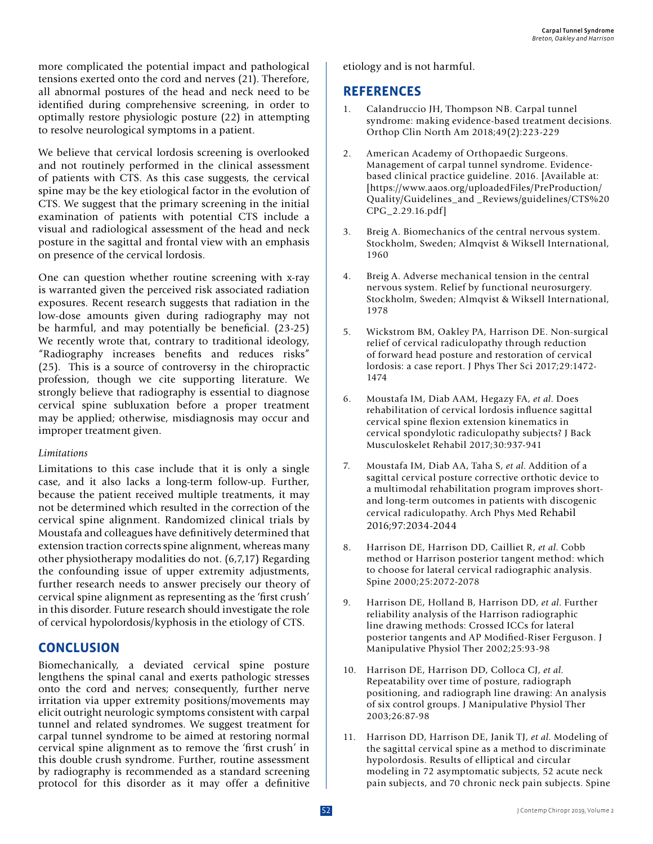more complicated the potential impact and pathological tensions exerted onto the cord and nerves (21). Therefore, all abnormal postures of the head and neck need to be identified during comprehensive screening, in order to optimally restore physiologic posture (22) in attempting to resolve neurological symptoms in a patient.

We believe that cervical lordosis screening is overlooked and not routinely performed in the clinical assessment of patients with CTS. As this case suggests, the cervical spine may be the key etiological factor in the evolution of CTS. We suggest that the primary screening in the initial examination of patients with potential CTS include a visual and radiological assessment of the head and neck posture in the sagittal and frontal view with an emphasis on presence of the cervical lordosis.

One can question whether routine screening with x-ray is warranted given the perceived risk associated radiation exposures. Recent research suggests that radiation in the low-dose amounts given during radiography may not be harmful, and may potentially be beneficial. (23-25) We recently wrote that, contrary to traditional ideology, "Radiography increases benefits and reduces risks" (25). This is a source of controversy in the chiropractic profession, though we cite supporting literature. We strongly believe that radiography is essential to diagnose cervical spine subluxation before a proper treatment may be applied; otherwise, misdiagnosis may occur and improper treatment given.

#### *Limitations*

Limitations to this case include that it is only a single case, and it also lacks a long-term follow-up. Further, because the patient received multiple treatments, it may not be determined which resulted in the correction of the cervical spine alignment. Randomized clinical trials by Moustafa and colleagues have definitively determined that extension traction corrects spine alignment, whereas many other physiotherapy modalities do not. (6,7,17) Regarding the confounding issue of upper extremity adjustments, further research needs to answer precisely our theory of cervical spine alignment as representing as the 'first crush' in this disorder. Future research should investigate the role of cervical hypolordosis/kyphosis in the etiology of CTS.

## **CONCLUSION**

Biomechanically, a deviated cervical spine posture lengthens the spinal canal and exerts pathologic stresses onto the cord and nerves; consequently, further nerve irritation via upper extremity positions/movements may elicit outright neurologic symptoms consistent with carpal tunnel and related syndromes. We suggest treatment for carpal tunnel syndrome to be aimed at restoring normal cervical spine alignment as to remove the 'first crush' in this double crush syndrome. Further, routine assessment by radiography is recommended as a standard screening protocol for this disorder as it may offer a definitive

etiology and is not harmful.

### **REFERENCES**

- 1. Calandruccio JH, Thompson NB. Carpal tunnel syndrome: making evidence-based treatment decisions. Orthop Clin North Am 2018;49(2):223-229
- 2. American Academy of Orthopaedic Surgeons. Management of carpal tunnel syndrome. Evidencebased clinical practice guideline. 2016. [Available at: [https://www.aaos.org/uploadedFiles/PreProduction/ Quality/Guidelines\_and \_Reviews/guidelines/CTS%20 CPG\_2.29.16.pdf]
- 3. Breig A. Biomechanics of the central nervous system. Stockholm, Sweden; Almqvist & Wiksell International, 1960
- 4. Breig A. Adverse mechanical tension in the central nervous system. Relief by functional neurosurgery. Stockholm, Sweden; Almqvist & Wiksell International, 1978
- 5. Wickstrom BM, Oakley PA, Harrison DE. Non-surgical relief of cervical radiculopathy through reduction of forward head posture and restoration of cervical lordosis: a case report. J Phys Ther Sci 2017;29:1472- 1474
- 6. Moustafa IM, Diab AAM, Hegazy FA, *et al*. Does rehabilitation of cervical lordosis influence sagittal cervical spine flexion extension kinematics in cervical spondylotic radiculopathy subjects? J Back Musculoskelet Rehabil 2017;30:937-941
- 7. Moustafa IM, Diab AA, Taha S, *et al*. Addition of a sagittal cervical posture corrective orthotic device to a multimodal rehabilitation program improves shortand long-term outcomes in patients with discogenic cervical radiculopathy. Arch Phys Med Rehabil 2016;97:2034-2044
- 8. Harrison DE, Harrison DD, Cailliet R, *et al*. Cobb method or Harrison posterior tangent method: which to choose for lateral cervical radiographic analysis. Spine 2000;25:2072-2078
- 9. Harrison DE, Holland B, Harrison DD, *et al*. Further reliability analysis of the Harrison radiographic line drawing methods: Crossed ICCs for lateral posterior tangents and AP Modified-Riser Ferguson. J Manipulative Physiol Ther 2002;25:93-98
- 10. Harrison DE, Harrison DD, Colloca CJ, *et al*. Repeatability over time of posture, radiograph positioning, and radiograph line drawing: An analysis of six control groups. J Manipulative Physiol Ther 2003;26:87-98
- 11. Harrison DD, Harrison DE, Janik TJ, *et al*. Modeling of the sagittal cervical spine as a method to discriminate hypolordosis. Results of elliptical and circular modeling in 72 asymptomatic subjects, 52 acute neck pain subjects, and 70 chronic neck pain subjects. Spine